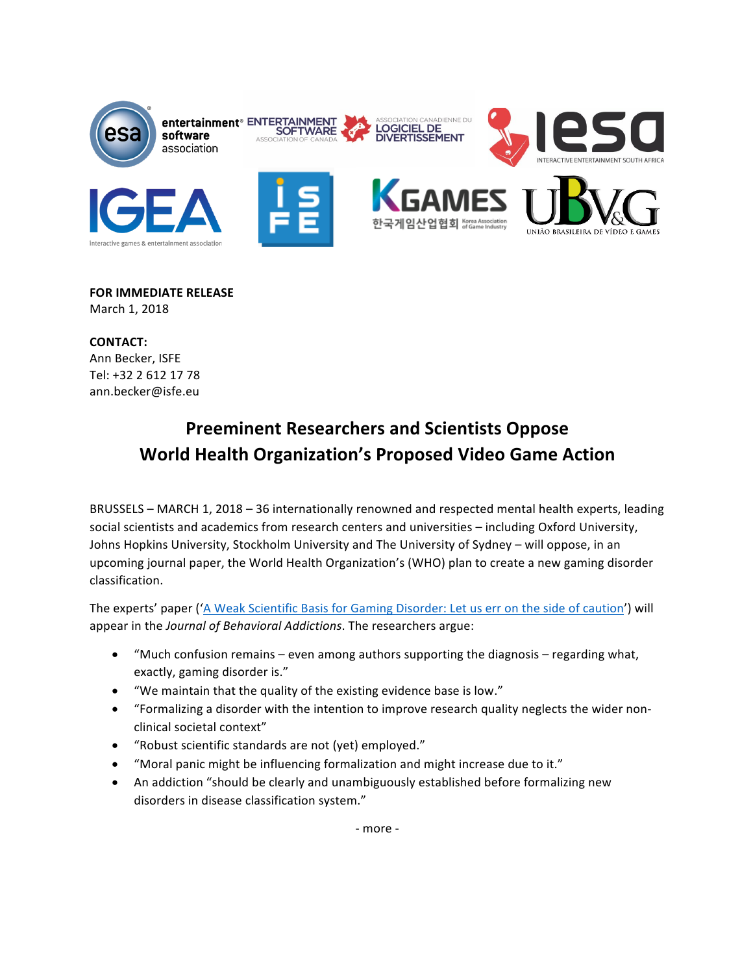

**FOR IMMEDIATE RELEASE** March 1, 2018

**CONTACT:** Ann Becker, ISFE Tel: +32 2 612 17 78 ann.becker@isfe.eu 

## **Preeminent Researchers and Scientists Oppose World Health Organization's Proposed Video Game Action**

BRUSSELS – MARCH 1, 2018 – 36 internationally renowned and respected mental health experts, leading social scientists and academics from research centers and universities - including Oxford University, Johns Hopkins University, Stockholm University and The University of Sydney – will oppose, in an upcoming journal paper, the World Health Organization's (WHO) plan to create a new gaming disorder classification. 

The experts' paper ('A Weak Scientific Basis for Gaming Disorder: Let us err on the side of caution') will appear in the *Journal of Behavioral Addictions*. The researchers argue:

- "Much confusion remains even among authors supporting the diagnosis regarding what, exactly, gaming disorder is."
- "We maintain that the quality of the existing evidence base is low."
- "Formalizing a disorder with the intention to improve research quality neglects the wider nonclinical societal context"
- "Robust scientific standards are not (yet) employed."
- "Moral panic might be influencing formalization and might increase due to it."
- An addiction "should be clearly and unambiguously established before formalizing new disorders in disease classification system."

- more -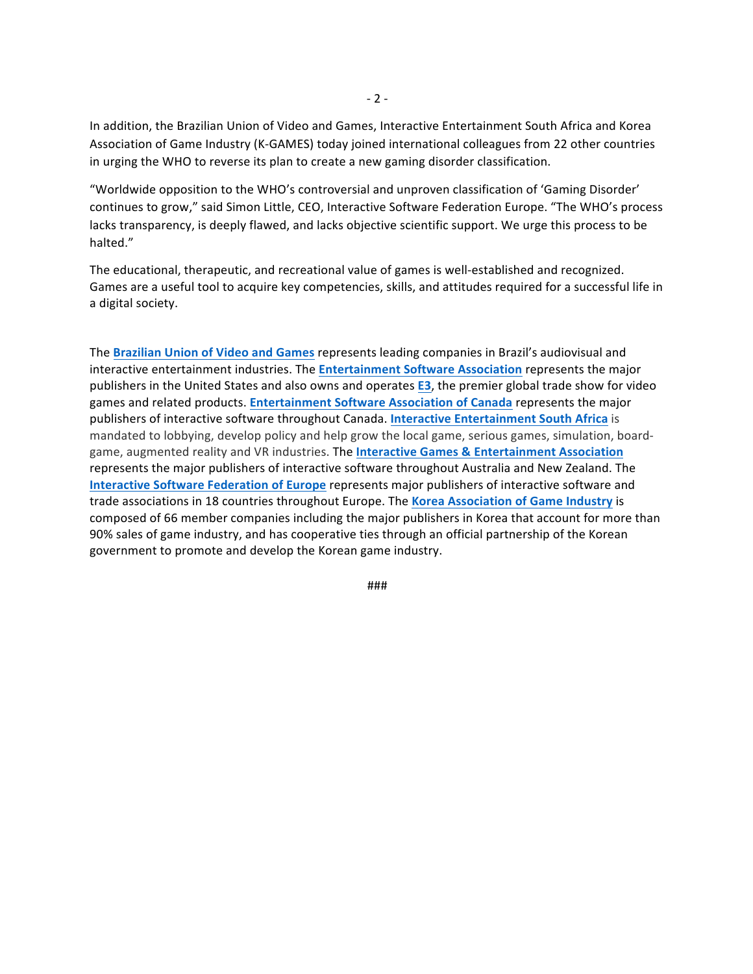In addition, the Brazilian Union of Video and Games, Interactive Entertainment South Africa and Korea Association of Game Industry (K-GAMES) today joined international colleagues from 22 other countries in urging the WHO to reverse its plan to create a new gaming disorder classification.

"Worldwide opposition to the WHO's controversial and unproven classification of 'Gaming Disorder' continues to grow," said Simon Little, CEO, Interactive Software Federation Europe. "The WHO's process lacks transparency, is deeply flawed, and lacks objective scientific support. We urge this process to be halted." 

The educational, therapeutic, and recreational value of games is well-established and recognized. Games are a useful tool to acquire key competencies, skills, and attitudes required for a successful life in a digital society.

The **Brazilian Union of Video and Games** represents leading companies in Brazil's audiovisual and interactive entertainment industries. The **Entertainment Software Association** represents the major publishers in the United States and also owns and operates **E3**, the premier global trade show for video games and related products. Entertainment Software Association of Canada represents the major publishers of interactive software throughout Canada. Interactive Entertainment South Africa is mandated to lobbying, develop policy and help grow the local game, serious games, simulation, boardgame, augmented reality and VR industries. The **Interactive Games & Entertainment Association** represents the major publishers of interactive software throughout Australia and New Zealand. The **Interactive Software Federation of Europe represents major publishers of interactive software and** trade associations in 18 countries throughout Europe. The Korea Association of Game Industry is composed of 66 member companies including the major publishers in Korea that account for more than 90% sales of game industry, and has cooperative ties through an official partnership of the Korean government to promote and develop the Korean game industry.

###